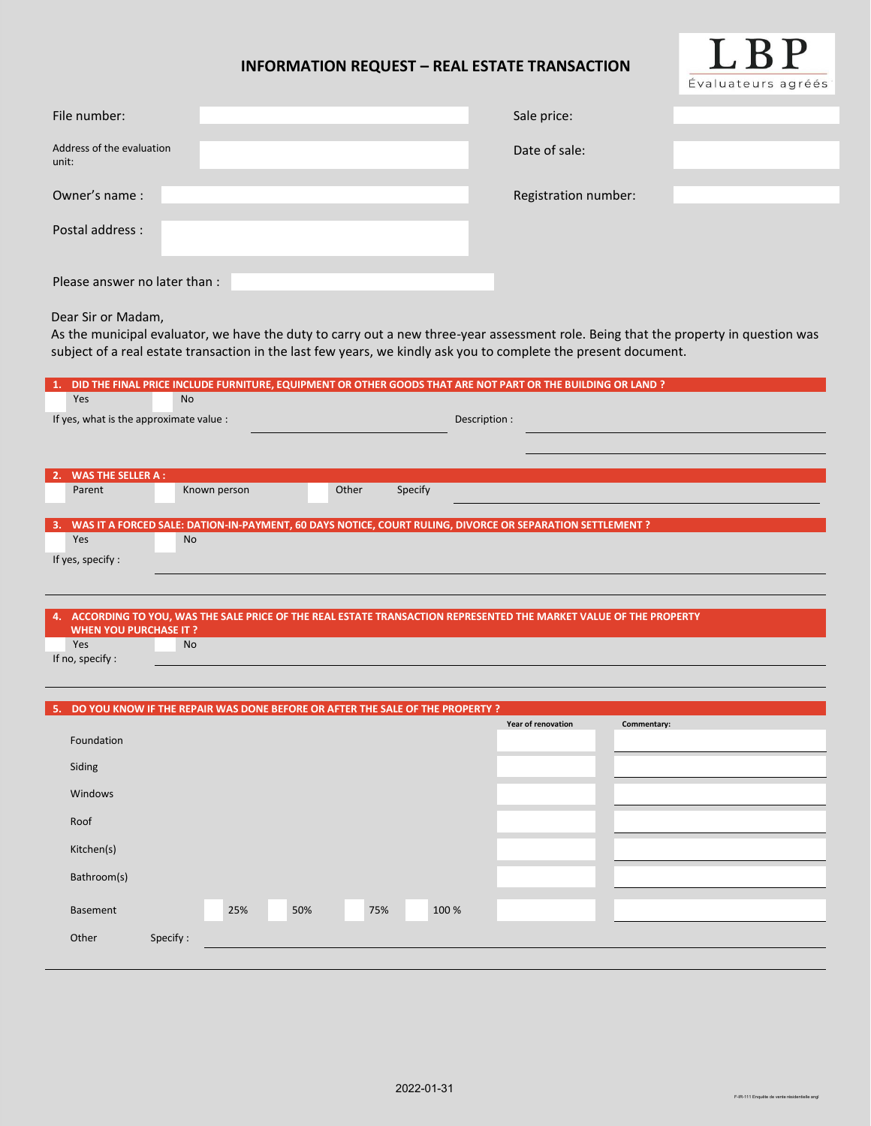## **INFORMATION REQUEST – REAL ESTATE TRANSACTION**



| File number:                       | Sale price:          |
|------------------------------------|----------------------|
| Address of the evaluation<br>unit: | Date of sale:        |
| Owner's name:                      | Registration number: |
| Postal address :                   |                      |
|                                    |                      |
| Please answer no later than:       |                      |

## Dear Sir or Madam,

As the municipal evaluator, we have the duty to carry out a new three-year assessment role. Being that the property in question was subject of a real estate transaction in the last few years, we kindly ask you to complete the present document.

|    |                                         |                                                                                                              |       |         |               | DID THE FINAL PRICE INCLUDE FURNITURE, EQUIPMENT OR OTHER GOODS THAT ARE NOT PART OR THE BUILDING OR LAND ? |  |
|----|-----------------------------------------|--------------------------------------------------------------------------------------------------------------|-------|---------|---------------|-------------------------------------------------------------------------------------------------------------|--|
|    | Yes                                     | <b>No</b>                                                                                                    |       |         |               |                                                                                                             |  |
|    | If yes, what is the approximate value : |                                                                                                              |       |         | Description : |                                                                                                             |  |
|    |                                         |                                                                                                              |       |         |               |                                                                                                             |  |
|    |                                         |                                                                                                              |       |         |               |                                                                                                             |  |
| 2. | <b>WAS THE SELLER A:</b>                |                                                                                                              |       |         |               |                                                                                                             |  |
|    | Parent                                  | Known person                                                                                                 | Other | Specify |               |                                                                                                             |  |
|    |                                         |                                                                                                              |       |         |               |                                                                                                             |  |
|    |                                         | 3. WAS IT A FORCED SALE: DATION-IN-PAYMENT, 60 DAYS NOTICE, COURT RULING, DIVORCE OR SEPARATION SETTLEMENT ? |       |         |               |                                                                                                             |  |
|    | <b>Yes</b>                              | N <sub>o</sub>                                                                                               |       |         |               |                                                                                                             |  |
|    | If yes, specify:                        |                                                                                                              |       |         |               |                                                                                                             |  |
|    |                                         |                                                                                                              |       |         |               |                                                                                                             |  |

| 4. ACCORDING TO YOU. WAS THE SALE PRICE OF THE REAL ESTATE TRANSACTION REPRESENTED THE MARKET VALUE OF THE PROPERTY |           |  |  |  |  |  |
|---------------------------------------------------------------------------------------------------------------------|-----------|--|--|--|--|--|
| <b>WHEN YOU PURCHASE IT ?</b>                                                                                       |           |  |  |  |  |  |
| Yes                                                                                                                 | <b>No</b> |  |  |  |  |  |
| If no, specify :                                                                                                    |           |  |  |  |  |  |

| 5. DO YOU KNOW IF THE REPAIR WAS DONE BEFORE OR AFTER THE SALE OF THE PROPERTY ? |          |     |     |     |       |                    |             |
|----------------------------------------------------------------------------------|----------|-----|-----|-----|-------|--------------------|-------------|
|                                                                                  |          |     |     |     |       | Year of renovation | Commentary: |
| Foundation                                                                       |          |     |     |     |       |                    |             |
| Siding                                                                           |          |     |     |     |       |                    |             |
| Windows                                                                          |          |     |     |     |       |                    |             |
| Roof                                                                             |          |     |     |     |       |                    |             |
| Kitchen(s)                                                                       |          |     |     |     |       |                    |             |
| Bathroom(s)                                                                      |          |     |     |     |       |                    |             |
| Basement                                                                         |          | 25% | 50% | 75% | 100 % |                    |             |
| Other                                                                            | Specify: |     |     |     |       |                    |             |
|                                                                                  |          |     |     |     |       |                    |             |